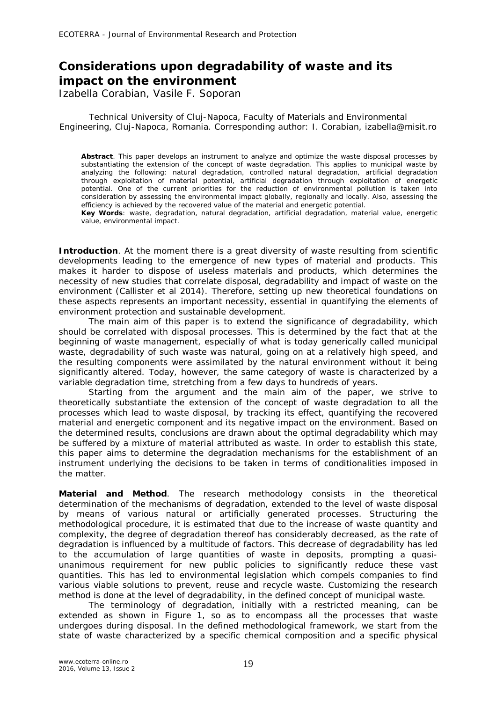## **Considerations upon degradability of waste and its impact on the environment**

Izabella Corabian, Vasile F. Soporan

Technical University of Cluj-Napoca, Faculty of Materials and Environmental Engineering, Cluj-Napoca, Romania. Corresponding author: I. Corabian, izabella@misit.ro

**Abstract**. This paper develops an instrument to analyze and optimize the waste disposal processes by substantiating the extension of the concept of waste degradation. This applies to municipal waste by analyzing the following: natural degradation, controlled natural degradation, artificial degradation through exploitation of material potential, artificial degradation through exploitation of energetic potential. One of the current priorities for the reduction of environmental pollution is taken into consideration by assessing the environmental impact globally, regionally and locally. Also, assessing the efficiency is achieved by the recovered value of the material and energetic potential.

**Key Words**: waste, degradation, natural degradation, artificial degradation, material value, energetic value, environmental impact.

**Introduction**. At the moment there is a great diversity of waste resulting from scientific developments leading to the emergence of new types of material and products. This makes it harder to dispose of useless materials and products, which determines the necessity of new studies that correlate disposal, degradability and impact of waste on the environment (Callister et al 2014). Therefore, setting up new theoretical foundations on these aspects represents an important necessity, essential in quantifying the elements of environment protection and sustainable development.

The main aim of this paper is to extend the significance of degradability, which should be correlated with disposal processes. This is determined by the fact that at the beginning of waste management, especially of what is today generically called municipal waste, degradability of such waste was natural, going on at a relatively high speed, and the resulting components were assimilated by the natural environment without it being significantly altered. Today, however, the same category of waste is characterized by a variable degradation time, stretching from a few days to hundreds of years.

Starting from the argument and the main aim of the paper, we strive to theoretically substantiate the extension of the concept of waste degradation to all the processes which lead to waste disposal, by tracking its effect, quantifying the recovered material and energetic component and its negative impact on the environment. Based on the determined results, conclusions are drawn about the optimal degradability which may be suffered by a mixture of material attributed as waste. In order to establish this state, this paper aims to determine the degradation mechanisms for the establishment of an instrument underlying the decisions to be taken in terms of conditionalities imposed in the matter.

**Material and Method**. The research methodology consists in the theoretical determination of the mechanisms of degradation, extended to the level of waste disposal by means of various natural or artificially generated processes. Structuring the methodological procedure, it is estimated that due to the increase of waste quantity and complexity, the degree of degradation thereof has considerably decreased, as the rate of degradation is influenced by a multitude of factors. This decrease of degradability has led to the accumulation of large quantities of waste in deposits, prompting a quasiunanimous requirement for new public policies to significantly reduce these vast quantities. This has led to environmental legislation which compels companies to find various viable solutions to prevent, reuse and recycle waste. Customizing the research method is done at the level of degradability, in the defined concept of municipal waste.

The terminology of degradation, initially with a restricted meaning, can be extended as shown in Figure 1, so as to encompass all the processes that waste undergoes during disposal. In the defined methodological framework, we start from the state of waste characterized by a specific chemical composition and a specific physical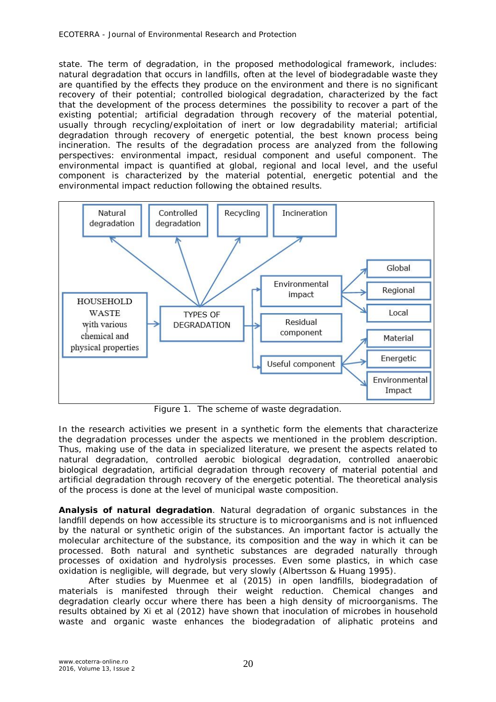state. The term of degradation, in the proposed methodological framework, includes: natural degradation that occurs in landfills, often at the level of biodegradable waste they are quantified by the effects they produce on the environment and there is no significant recovery of their potential; controlled biological degradation, characterized by the fact that the development of the process determines the possibility to recover a part of the existing potential; artificial degradation through recovery of the material potential, usually through recycling/exploitation of inert or low degradability material; artificial degradation through recovery of energetic potential, the best known process being incineration. The results of the degradation process are analyzed from the following perspectives: environmental impact, residual component and useful component. The environmental impact is quantified at global, regional and local level, and the useful component is characterized by the material potential, energetic potential and the environmental impact reduction following the obtained results.



Figure 1. The scheme of waste degradation.

In the research activities we present in a synthetic form the elements that characterize the degradation processes under the aspects we mentioned in the problem description. Thus, making use of the data in specialized literature, we present the aspects related to natural degradation, controlled aerobic biological degradation, controlled anaerobic biological degradation, artificial degradation through recovery of material potential and artificial degradation through recovery of the energetic potential. The theoretical analysis of the process is done at the level of municipal waste composition.

*Analysis of natural degradation.* Natural degradation of organic substances in the landfill depends on how accessible its structure is to microorganisms and is not influenced by the natural or synthetic origin of the substances. An important factor is actually the molecular architecture of the substance, its composition and the way in which it can be processed. Both natural and synthetic substances are degraded naturally through processes of oxidation and hydrolysis processes. Even some plastics, in which case oxidation is negligible, will degrade, but very slowly (Albertsson & Huang 1995).

After studies by Muenmee et al (2015) in open landfills, biodegradation of materials is manifested through their weight reduction. Chemical changes and degradation clearly occur where there has been a high density of microorganisms. The results obtained by Xi et al (2012) have shown that inoculation of microbes in household waste and organic waste enhances the biodegradation of aliphatic proteins and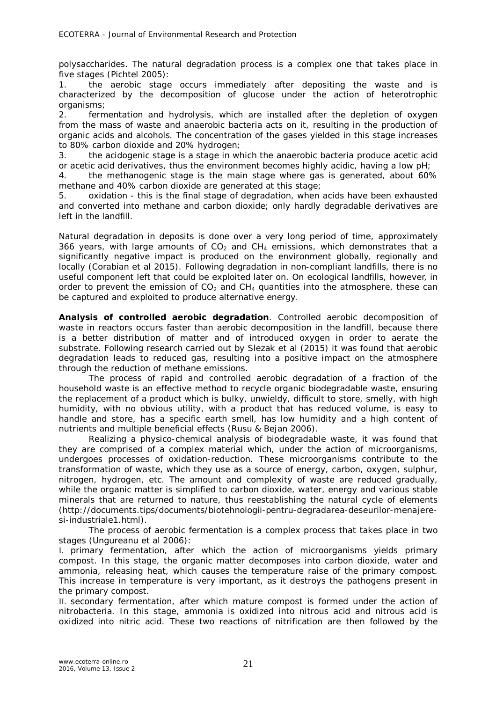polysaccharides. The natural degradation process is a complex one that takes place in five stages (Pichtel 2005):

1. the aerobic stage occurs immediately after depositing the waste and is characterized by the decomposition of glucose under the action of heterotrophic organisms;

2. fermentation and hydrolysis, which are installed after the depletion of oxygen from the mass of waste and anaerobic bacteria acts on it, resulting in the production of organic acids and alcohols. The concentration of the gases yielded in this stage increases to 80% carbon dioxide and 20% hydrogen;

3. the acidogenic stage is a stage in which the anaerobic bacteria produce acetic acid or acetic acid derivatives, thus the environment becomes highly acidic, having a low pH;

4. the methanogenic stage is the main stage where gas is generated, about 60% methane and 40% carbon dioxide are generated at this stage;

5. oxidation - this is the final stage of degradation, when acids have been exhausted and converted into methane and carbon dioxide; only hardly degradable derivatives are left in the landfill.

Natural degradation in deposits is done over a very long period of time, approximately 366 years, with large amounts of  $CO<sub>2</sub>$  and  $CH<sub>4</sub>$  emissions, which demonstrates that a significantly negative impact is produced on the environment globally, regionally and locally (Corabian et al 2015). Following degradation in non-compliant landfills, there is no useful component left that could be exploited later on. On ecological landfills, however, in order to prevent the emission of  $CO<sub>2</sub>$  and  $CH<sub>4</sub>$  quantities into the atmosphere, these can be captured and exploited to produce alternative energy.

*Analysis of controlled aerobic degradation.* Controlled aerobic decomposition of waste in reactors occurs faster than aerobic decomposition in the landfill, because there is a better distribution of matter and of introduced oxygen in order to aerate the substrate. Following research carried out by Slezak et al (2015) it was found that aerobic degradation leads to reduced gas, resulting into a positive impact on the atmosphere through the reduction of methane emissions.

The process of rapid and controlled aerobic degradation of a fraction of the household waste is an effective method to recycle organic biodegradable waste, ensuring the replacement of a product which is bulky, unwieldy, difficult to store, smelly, with high humidity, with no obvious utility, with a product that has reduced volume, is easy to handle and store, has a specific earth smell, has low humidity and a high content of nutrients and multiple beneficial effects (Rusu & Bejan 2006).

Realizing a physico-chemical analysis of biodegradable waste, it was found that they are comprised of a complex material which, under the action of microorganisms, undergoes processes of oxidation-reduction. These microorganisms contribute to the transformation of waste, which they use as a source of energy, carbon, oxygen, sulphur, nitrogen, hydrogen, etc. The amount and complexity of waste are reduced gradually, while the organic matter is simplified to carbon dioxide, water, energy and various stable minerals that are returned to nature, thus reestablishing the natural cycle of elements (http://documents.tips/documents/biotehnologii-pentru-degradarea-deseurilor-menajeresi-industriale1.html).

The process of aerobic fermentation is a complex process that takes place in two stages (Ungureanu et al 2006):

I. *primary fermentation*, after which the action of microorganisms yields primary compost. In this stage, the organic matter decomposes into carbon dioxide, water and ammonia, releasing heat, which causes the temperature raise of the primary compost. This increase in temperature is very important, as it destroys the pathogens present in the primary compost.

II. *secondary fermentation*, after which mature compost is formed under the action of nitrobacteria. In this stage, ammonia is oxidized into nitrous acid and nitrous acid is oxidized into nitric acid. These two reactions of nitrification are then followed by the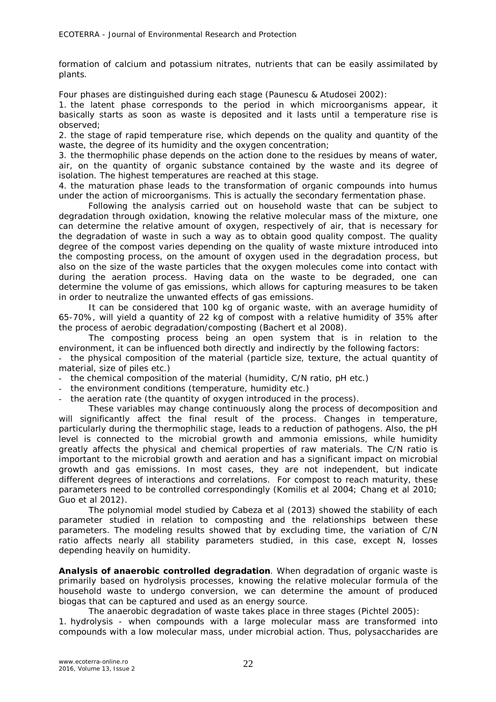formation of calcium and potassium nitrates, nutrients that can be easily assimilated by plants.

Four phases are distinguished during each stage (Paunescu & Atudosei 2002):

1. *the latent phase* corresponds to the period in which microorganisms appear, it basically starts as soon as waste is deposited and it lasts until a temperature rise is observed;

2. *the stage of rapid temperature rise,* which depends on the quality and quantity of the waste, the degree of its humidity and the oxygen concentration;

3. *the thermophilic phase* depends on the action done to the residues by means of water, air, on the quantity of organic substance contained by the waste and its degree of isolation. The highest temperatures are reached at this stage.

4. *the maturation phase* leads to the transformation of organic compounds into humus under the action of microorganisms. This is actually the secondary fermentation phase.

Following the analysis carried out on household waste that can be subject to degradation through oxidation, knowing the relative molecular mass of the mixture, one can determine the relative amount of oxygen, respectively of air, that is necessary for the degradation of waste in such a way as to obtain good quality compost. The quality degree of the compost varies depending on the quality of waste mixture introduced into the composting process, on the amount of oxygen used in the degradation process, but also on the size of the waste particles that the oxygen molecules come into contact with during the aeration process. Having data on the waste to be degraded, one can determine the volume of gas emissions, which allows for capturing measures to be taken in order to neutralize the unwanted effects of gas emissions.

It can be considered that 100 kg of organic waste, with an average humidity of 65-70%, will yield a quantity of 22 kg of compost with a relative humidity of 35% after the process of aerobic degradation/composting (Bachert et al 2008).

The composting process being an open system that is in relation to the environment, it can be influenced both directly and indirectly by the following factors:

the physical composition of the material (particle size, texture, the actual quantity of material, size of piles etc.)

- the chemical composition of the material (humidity, C/N ratio, pH etc.)

the environment conditions (temperature, humidity etc.)

the aeration rate (the quantity of oxygen introduced in the process).

These variables may change continuously along the process of decomposition and will significantly affect the final result of the process. Changes in temperature, particularly during the thermophilic stage, leads to a reduction of pathogens. Also, the pH level is connected to the microbial growth and ammonia emissions, while humidity greatly affects the physical and chemical properties of raw materials. The C/N ratio is important to the microbial growth and aeration and has a significant impact on microbial growth and gas emissions. In most cases, they are not independent, but indicate different degrees of interactions and correlations. For compost to reach maturity, these parameters need to be controlled correspondingly (Komilis et al 2004; Chang et al 2010; Guo et al 2012).

The polynomial model studied by Cabeza et al (2013) showed the stability of each parameter studied in relation to composting and the relationships between these parameters. The modeling results showed that by excluding time, the variation of C/N ratio affects nearly all stability parameters studied, in this case, except N, losses depending heavily on humidity.

*Analysis of anaerobic controlled degradation.* When degradation of organic waste is primarily based on hydrolysis processes, knowing the relative molecular formula of the household waste to undergo conversion, we can determine the amount of produced biogas that can be captured and used as an energy source.

The anaerobic degradation of waste takes place in three stages (Pichtel 2005):

*1. hydrolysis* - when compounds with a large molecular mass are transformed into compounds with a low molecular mass, under microbial action. Thus, polysaccharides are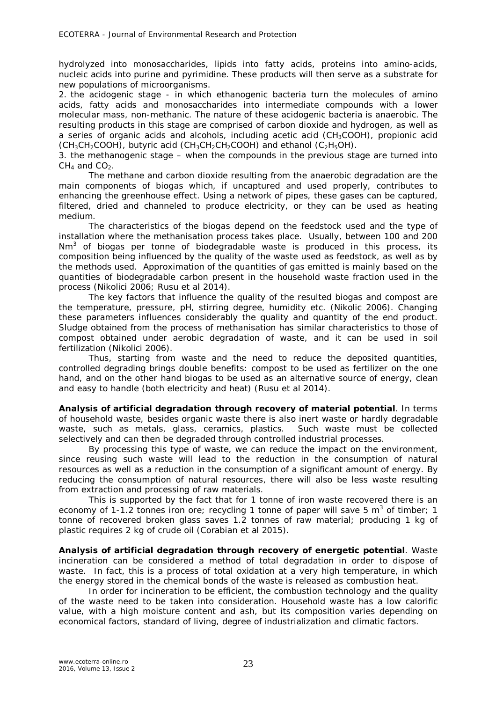hydrolyzed into monosaccharides, lipids into fatty acids, proteins into amino-acids, nucleic acids into purine and pyrimidine. These products will then serve as a substrate for new populations of microorganisms.

*2. the acidogenic stage* - in which ethanogenic bacteria turn the molecules of amino acids, fatty acids and monosaccharides into intermediate compounds with a lower molecular mass, non-methanic. The nature of these acidogenic bacteria is anaerobic. The resulting products in this stage are comprised of carbon dioxide and hydrogen, as well as a series of organic acids and alcohols, including acetic acid (CH3COOH), propionic acid  $(CH_3CH_2COOH)$ , butyric acid (CH<sub>3</sub>CH<sub>2</sub>CH<sub>2</sub>COOH) and ethanol (C<sub>2</sub>H<sub>5</sub>OH).

*3. the methanogenic stage –* when the compounds in the previous stage are turned into  $CH<sub>4</sub>$  and  $CO<sub>2</sub>$ .

The methane and carbon dioxide resulting from the anaerobic degradation are the main components of biogas which, if uncaptured and used properly, contributes to enhancing the greenhouse effect. Using a network of pipes, these gases can be captured, filtered, dried and channeled to produce electricity, or they can be used as heating medium.

The characteristics of the biogas depend on the feedstock used and the type of installation where the methanisation process takes place. Usually, between 100 and 200 Nm<sup>3</sup> of biogas per tonne of biodegradable waste is produced in this process, its composition being influenced by the quality of the waste used as feedstock, as well as by the methods used. Approximation of the quantities of gas emitted is mainly based on the quantities of biodegradable carbon present in the household waste fraction used in the process (Nikolici 2006; Rusu et al 2014).

The key factors that influence the quality of the resulted biogas and compost are the temperature, pressure, pH, stirring degree, humidity etc. (Nikolic 2006). Changing these parameters influences considerably the quality and quantity of the end product. Sludge obtained from the process of methanisation has similar characteristics to those of compost obtained under aerobic degradation of waste, and it can be used in soil fertilization (Nikolici 2006).

Thus, starting from waste and the need to reduce the deposited quantities, controlled degrading brings double benefits: compost to be used as fertilizer on the one hand, and on the other hand biogas to be used as an alternative source of energy, clean and easy to handle (both electricity and heat) (Rusu et al 2014).

*Analysis of artificial degradation through recovery of material potential.* In terms of household waste, besides organic waste there is also inert waste or hardly degradable waste, such as metals, glass, ceramics, plastics. Such waste must be collected selectively and can then be degraded through controlled industrial processes.

By processing this type of waste, we can reduce the impact on the environment, since reusing such waste will lead to the reduction in the consumption of natural resources as well as a reduction in the consumption of a significant amount of energy. By reducing the consumption of natural resources, there will also be less waste resulting from extraction and processing of raw materials.

This is supported by the fact that for 1 tonne of iron waste recovered there is an economy of 1-1.2 tonnes iron ore; recycling 1 tonne of paper will save 5  $m^3$  of timber; 1 tonne of recovered broken glass saves 1.2 tonnes of raw material; producing 1 kg of plastic requires 2 kg of crude oil (Corabian et al 2015).

*Analysis of artificial degradation through recovery of energetic potential.* Waste incineration can be considered a method of total degradation in order to dispose of waste. In fact, this is a process of total oxidation at a very high temperature, in which the energy stored in the chemical bonds of the waste is released as combustion heat.

In order for incineration to be efficient, the combustion technology and the quality of the waste need to be taken into consideration. Household waste has a low calorific value, with a high moisture content and ash, but its composition varies depending on economical factors, standard of living, degree of industrialization and climatic factors.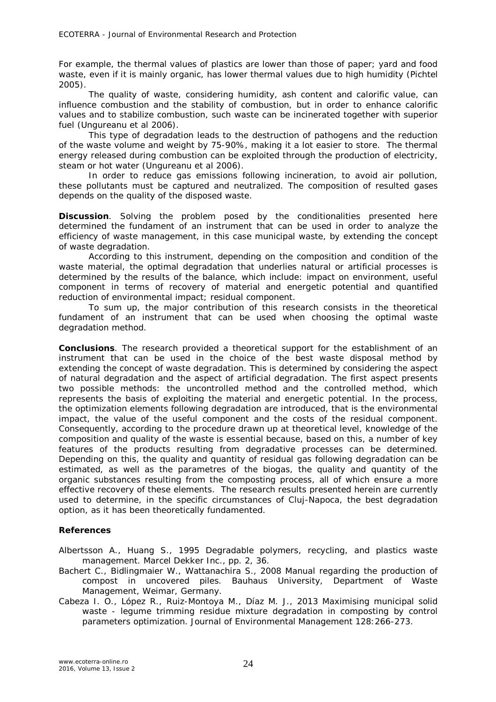For example, the thermal values of plastics are lower than those of paper; yard and food waste, even if it is mainly organic, has lower thermal values due to high humidity (Pichtel 2005).

The quality of waste, considering humidity, ash content and calorific value, can influence combustion and the stability of combustion, but in order to enhance calorific values and to stabilize combustion, such waste can be incinerated together with superior fuel (Ungureanu et al 2006).

This type of degradation leads to the destruction of pathogens and the reduction of the waste volume and weight by 75-90%, making it a lot easier to store. The thermal energy released during combustion can be exploited through the production of electricity, steam or hot water (Ungureanu et al 2006).

In order to reduce gas emissions following incineration, to avoid air pollution, these pollutants must be captured and neutralized. The composition of resulted gases depends on the quality of the disposed waste.

**Discussion**. Solving the problem posed by the conditionalities presented here determined the fundament of an instrument that can be used in order to analyze the efficiency of waste management, in this case municipal waste, by extending the concept of waste degradation.

According to this instrument, depending on the composition and condition of the waste material, the optimal degradation that underlies natural or artificial processes is determined by the results of the balance, which include: impact on environment, useful component in terms of recovery of material and energetic potential and quantified reduction of environmental impact; residual component.

To sum up, the major contribution of this research consists in the theoretical fundament of an instrument that can be used when choosing the optimal waste degradation method.

**Conclusions**. The research provided a theoretical support for the establishment of an instrument that can be used in the choice of the best waste disposal method by extending the concept of waste degradation. This is determined by considering the aspect of natural degradation and the aspect of artificial degradation. The first aspect presents two possible methods: the uncontrolled method and the controlled method, which represents the basis of exploiting the material and energetic potential. In the process, the optimization elements following degradation are introduced, that is the environmental impact, the value of the useful component and the costs of the residual component. Consequently, according to the procedure drawn up at theoretical level, knowledge of the composition and quality of the waste is essential because, based on this, a number of key features of the products resulting from degradative processes can be determined. Depending on this, the quality and quantity of residual gas following degradation can be estimated, as well as the parametres of the biogas, the quality and quantity of the organic substances resulting from the composting process, all of which ensure a more effective recovery of these elements. The research results presented herein are currently used to determine, in the specific circumstances of Cluj-Napoca, the best degradation option, as it has been theoretically fundamented.

## **References**

Albertsson A., Huang S., 1995 Degradable polymers, recycling, and plastics waste management. Marcel Dekker Inc., pp. 2, 36.

- Bachert C., Bidlingmaier W., Wattanachira S., 2008 Manual regarding the production of compost in uncovered piles. Bauhaus University, Department of Waste Management, Weimar, Germany.
- Cabeza I. O., López R., Ruiz-Montoya M., Díaz M. J., 2013 Maximising municipal solid waste - legume trimming residue mixture degradation in composting by control parameters optimization. Journal of Environmental Management 128:266-273.